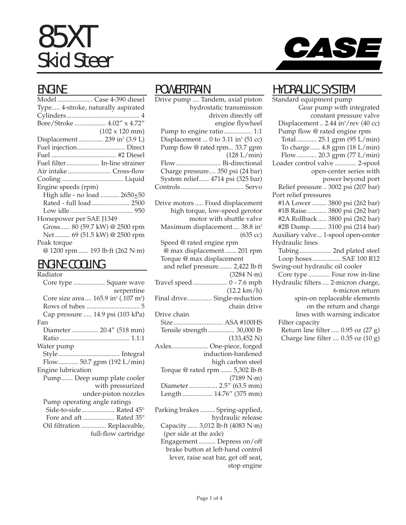# 85XT Skid Steer



#### ENGINE

| Model  Case 4-390 diesel                  |
|-------------------------------------------|
| Type 4-stroke, naturally aspirated        |
|                                           |
| Bore/Stroke  4.02" x 4.72"                |
| $(102 \times 120 \text{ mm})$             |
| Displacement  239 in <sup>3</sup> (3.9 L) |
| Fuel injection Direct                     |
|                                           |
| Fuel filter In-line strainer              |
|                                           |
|                                           |
| Engine speeds (rpm)                       |
| High idle - no load  2650+50              |
| Rated - full load 2500                    |
|                                           |
| Horsepower per SAE J1349                  |
| Gross 80 (59.7 kW) @ 2500 rpm             |
| Net  69 (51.5 kW) @ 2500 rpm              |
| Peak torque                               |
| @ 1200 rpm  193 lb·ft (262 N·m)           |
|                                           |

#### ENGINE COOLING

| Radiator                                                    |
|-------------------------------------------------------------|
| Core type  Square wave                                      |
| serpentine                                                  |
| Core size area 165.9 in <sup>2</sup> (.107 m <sup>2</sup> ) |
|                                                             |
| Cap pressure  14.9 psi (103 kPa)                            |
| Fan                                                         |
| Diameter  20.4" (518 mm)                                    |
|                                                             |
| Water pump                                                  |
|                                                             |
| Flow 50.7 gpm (192 L/min)                                   |
| Engine lubrication                                          |
| Pump Deep sump plate cooler                                 |
| with pressurized                                            |
| under-piston nozzles                                        |
| Pump operating angle ratings                                |
| Side-to-side Rated 45°                                      |
| Fore and aft  Rated 35°                                     |
| Oil filtration  Replaceable,                                |
| full-flow cartridge                                         |
|                                                             |

#### POWERTRAIN

Drive pump .... Tandem, axial piston hydrostatic transmission driven directly off engine flywheel Pump to engine ratio................. 1:1 Displacement ... 0 to  $3.11$  in<sup>3</sup> (51 cc) Pump flow @ rated rpm... 33.7 gpm (128 L/min) Flow........................... Bi-directional Charge pressure.... 350 psi (24 bar) System relief...... 4714 psi (325 bar) Controls...................................... Servo Drive motors ..... Fixed displacement high torque, low-speed gerotor motor with shuttle valve Maximum displacement.... 38.8 in<sup>3</sup> (635 cc) Speed @ rated engine rpm @ max displacement....... 201 rpm Torque @ max displacement and relief pressure........ 2,422 lb·ft (3284 N·m) Travel speed..................... 0 - 7.6 mph (12.2 km/h) Final drive............... Single-reduction chain drive Drive chain Size.............................. ASA #100HS Tensile strength ................ 30,000 lb (133,452 N) Axles...................... One-piece, forged induction-hardened high carbon steel Torque @ rated rpm ....... 5,302 lb·ft (7189 N·m) Diameter ................. 2.5" (63.5 mm) Length .................. 14.76" (375 mm) Parking brakes......... Spring-applied, hydraulic release Capacity ...... 3,012 lb·ft (4083 N·m) (per side at the axle)

Engagement .......... Depress on/off brake button at left-hand control lever, raise seat bar, get off seat, stop engine

#### HYDRAULIC SYSTEM

Standard equipment pump Gear pump with integrated constant pressure valve Displacement  $\ldots$  2.44 in<sup>3</sup>/rev (40 cc) Pump flow @ rated engine rpm Total ............ 25.1 gpm (95 L/min) To charge...... 4.8 gpm (18 L/min) Flow............ 20.3 gpm (77 L/min) Loader control valve ............. 2-spool open-center series with power beyond port Relief pressure .. 3002 psi (207 bar) Port relief pressures #1A Lower ......... 3800 psi (262 bar) #1B Raise............ 3800 psi (262 bar) #2A Rollback ..... 3800 psi (262 bar) #2B Dump.......... 3100 psi (214 bar) Auxiliary valve... 1-spool open-center Hydraulic lines Tubing................... 2nd plated steel Loop hoses................. SAE 100 R12 Swing-out hydraulic oil cooler Core type ............. Four row in-line Hydraulic filters .... 2-micron charge, 6-micron return spin-on replaceable elements on the return and charge lines with warning indicator Filter capacity Return line filter..... 0.95 oz (27 g) Charge line filter .... 0.35 oz (10 g)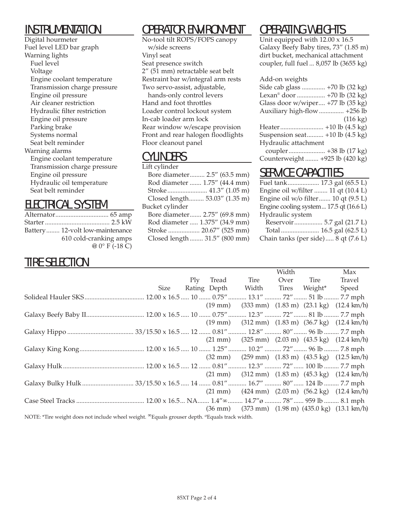#### INSTRUMENTATION

Digital hourmeter Fuel level LED bar graph Warning lights Fuel level Voltage Engine coolant temperature Transmission charge pressure Engine oil pressure Air cleaner restriction Hydraulic filter restriction Engine oil pressure Parking brake Systems normal Seat belt reminder Warning alarms Engine coolant temperature Transmission charge pressure Engine oil pressure Hydraulic oil temperature Seat belt reminder

#### ELECTRICAL SYSTEM

| Battery 12-volt low-maintenance |
|---------------------------------|
| 610 cold-cranking amps          |
| $@0°$ F (-18 C)                 |

#### TIRE SELECTION

# OPERATOR ENVIRONMENT

No-tool tilt ROPS/FOPS canopy w/side screens Vinyl seat Seat presence switch 2" (51 mm) retractable seat belt Restraint bar w/integral arm rests Two servo-assist, adjustable, hands-only control levers Hand and foot throttles Loader control lockout system In-cab loader arm lock

Rear window w/escape provision Front and rear halogen floodlights Floor cleanout panel

#### CYLINDERS

| Lift cylinder   |                                |
|-----------------|--------------------------------|
|                 | Bore diameter 2.5" (63.5 mm)   |
|                 | Rod diameter  1.75" (44.4 mm)  |
|                 | Stroke 41.3" (1.05 m)          |
|                 | Closed length 53.03" (1.35 m)  |
| Bucket cylinder |                                |
|                 | Bore diameter 2.75" (69.8 mm)  |
|                 | Rod diameter  1.375" (34.9 mm) |
|                 | Stroke  20.67" (525 mm)        |
|                 | Closed length  31.5" (800 mm)  |
|                 |                                |

# OPERATING WEIGHTS

Unit equipped with 12.00 x 16.5 Galaxy Beefy Baby tires, 73" (1.85 m) dirt bucket, mechanical attachment coupler, full fuel ... 8,057 lb (3655 kg)

| Add-on weights |  |  |
|----------------|--|--|
|                |  |  |

| SIGE CAD glass  +70 ID (32 Kg)              |                    |
|---------------------------------------------|--------------------|
| Lexan <sup>®</sup> door  +70 lb (32 kg)     |                    |
| Glass door w/wiper +77 lb (35 kg)           |                    |
| Auxiliary high-flow  +256 lb                |                    |
|                                             | $(116 \text{ kg})$ |
|                                             |                    |
| Suspension seat $+10$ lb $(4.5 \text{ kg})$ |                    |
| Hydraulic attachment                        |                    |
|                                             |                    |
| Counterweight  +925 lb (420 kg)             |                    |

#### SERVICE CAPACITIES

| Fuel tank 17.3 gal (65.5 L)            |  |
|----------------------------------------|--|
| Engine oil w/filter  11 qt (10.4 L)    |  |
| Engine oil w/o filter 10 qt (9.5 L)    |  |
| Engine cooling system 17.5 qt (16.6 L) |  |
| Hydraulic system                       |  |
| Reservoir 5.7 gal (21.7 L)             |  |
|                                        |  |
| Chain tanks (per side) 8 qt (7.6 L)    |  |
|                                        |  |

|                                                                                                          |      |            |       |                                                                                                    | Width |         | Max                                                                                               |
|----------------------------------------------------------------------------------------------------------|------|------------|-------|----------------------------------------------------------------------------------------------------|-------|---------|---------------------------------------------------------------------------------------------------|
|                                                                                                          |      | $\rm{Ply}$ | Tread | Tire                                                                                               | Over  | Tire    | Travel                                                                                            |
|                                                                                                          | Size |            |       | Rating Depth Width Tires                                                                           |       | Weight* | Speed                                                                                             |
|                                                                                                          |      |            |       |                                                                                                    |       |         |                                                                                                   |
|                                                                                                          |      |            |       |                                                                                                    |       |         | $(19 \text{ mm})$ $(333 \text{ mm})$ $(1.83 \text{ m})$ $(23.1 \text{ kg})$ $(12.4 \text{ km/h})$ |
|                                                                                                          |      |            |       |                                                                                                    |       |         |                                                                                                   |
|                                                                                                          |      |            |       | $(19 \text{ mm})$ $(312 \text{ mm})$ $(1.83 \text{ m})$ $(36.7 \text{ kg})$ $(12.4 \text{ km/h})$  |       |         |                                                                                                   |
|                                                                                                          |      |            |       |                                                                                                    |       |         |                                                                                                   |
|                                                                                                          |      |            |       |                                                                                                    |       |         | $(21 \text{ mm})$ $(325 \text{ mm})$ $(2.03 \text{ m})$ $(43.5 \text{ kg})$ $(12.4 \text{ km/h})$ |
|                                                                                                          |      |            |       |                                                                                                    |       |         |                                                                                                   |
|                                                                                                          |      |            |       |                                                                                                    |       |         | $(32 \text{ mm})$ $(259 \text{ mm})$ $(1.83 \text{ m})$ $(43.5 \text{ kg})$ $(12.5 \text{ km/h})$ |
|                                                                                                          |      |            |       |                                                                                                    |       |         |                                                                                                   |
|                                                                                                          |      |            |       | $(21 \text{ mm})$ $(312 \text{ mm})$ $(1.83 \text{ m})$ $(45.3 \text{ kg})$ $(12.4 \text{ km/h})$  |       |         |                                                                                                   |
|                                                                                                          |      |            |       |                                                                                                    |       |         |                                                                                                   |
|                                                                                                          |      |            |       |                                                                                                    |       |         | $(21 \text{ mm})$ $(424 \text{ mm})$ $(2.03 \text{ m})$ $(56.2 \text{ kg})$ $(12.4 \text{ km/h})$ |
|                                                                                                          |      |            |       |                                                                                                    |       |         |                                                                                                   |
|                                                                                                          |      |            |       | $(36 \text{ mm})$ $(373 \text{ mm})$ $(1.98 \text{ m})$ $(435.0 \text{ kg})$ $(13.1 \text{ km/h})$ |       |         |                                                                                                   |
| NIOTE: #The contribution of the death of contribution of the correct death of second model of the death. |      |            |       |                                                                                                    |       |         |                                                                                                   |

NOTE: \*Tire weight does not include wheel weight. 'Equals grouser depth. ØEquals track width.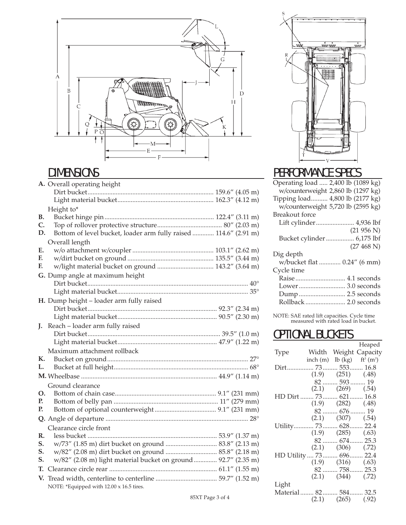

#### DIMENSIONS

|    | A. Overall operating height                                      |  |  |
|----|------------------------------------------------------------------|--|--|
|    |                                                                  |  |  |
|    |                                                                  |  |  |
|    | Height to*                                                       |  |  |
| В. |                                                                  |  |  |
| C. |                                                                  |  |  |
| D. | Bottom of level bucket, loader arm fully raised  114.6" (2.91 m) |  |  |
|    | Overall length                                                   |  |  |
| Е. |                                                                  |  |  |
| F. |                                                                  |  |  |
| F. | w/light material bucket on ground  143.2" (3.64 m)               |  |  |
|    | G. Dump angle at maximum height                                  |  |  |
|    |                                                                  |  |  |
|    |                                                                  |  |  |
|    | H. Dump height - loader arm fully raised                         |  |  |
|    |                                                                  |  |  |
|    |                                                                  |  |  |
| J. | Reach - loader arm fully raised                                  |  |  |
|    |                                                                  |  |  |
|    |                                                                  |  |  |
|    | Maximum attachment rollback                                      |  |  |
| К. |                                                                  |  |  |
| L. |                                                                  |  |  |
|    |                                                                  |  |  |
|    | Ground clearance                                                 |  |  |
| О. |                                                                  |  |  |
| Р. |                                                                  |  |  |
| Р. |                                                                  |  |  |
|    |                                                                  |  |  |
|    | Clearance circle front                                           |  |  |
| R. |                                                                  |  |  |
| S. |                                                                  |  |  |
| S. |                                                                  |  |  |
| S. | w/82" (2.08 m) light material bucket on ground  92.7" (2.35 m)   |  |  |
| Т. |                                                                  |  |  |
| V. |                                                                  |  |  |
|    | NOTE: *Equipped with 12.00 x 16.5 tires.                         |  |  |



 $\overline{S}$ 

#### PERFORMANCE SPECS

| Operating load  2,400 lb (1089 kg) |
|------------------------------------|
| w/counterweight 2,860 lb (1297 kg) |
| Tipping load 4,800 lb (2177 kg)    |
| w/counterweight 5,720 lb (2595 kg) |
| Breakout force                     |
| Lift cylinder 4,936 lbf            |
| (21956 N)                          |
| Bucket cylinder 6,175 lbf          |
| (27 468 N)                         |
| Dig depth                          |
| w/bucket flat  0.24" (6 mm)        |
| Cycle time                         |
| Raise  4.1 seconds                 |
| Lower 3.0 seconds                  |
| Dump 2.5 seconds                   |
|                                    |
|                                    |

NOTE: SAE rated lift capacities. Cycle time measured with rated load in bucket.

### **OPTIONAL BUCKETS**

|                           |                                           |                          | Heaped                |
|---------------------------|-------------------------------------------|--------------------------|-----------------------|
| Type                      |                                           |                          | Width Weight Capacity |
|                           | inch (m) lb (kg) $ft^3$ (m <sup>3</sup> ) |                          |                       |
| Dirt 73 553 16.8          |                                           |                          |                       |
|                           |                                           | $(1.9)$ $(251)$ $(.48)$  |                       |
|                           |                                           | $82$ 593  19             |                       |
|                           |                                           | $(2.1)$ $(269)$ $(.54)$  |                       |
| HD Dirt  73 621 16.8      |                                           |                          |                       |
|                           | $(1.9)$ $(282)$ $(0.48)$                  |                          |                       |
|                           |                                           | 82  676  19              |                       |
|                           |                                           | $(2.1)$ $(307)$ $(.54)$  |                       |
| Utility 73 628 22.4       |                                           |                          |                       |
|                           | $(1.9)$ $(285)$ $(.63)$                   |                          |                       |
|                           |                                           | 82  674  25.3            |                       |
|                           |                                           | $(2.1)$ $(306)$ $(0.72)$ |                       |
| HD Utility  73  696  22.4 |                                           |                          |                       |
|                           |                                           | $(1.9)$ $(316)$ $(0.63)$ |                       |
|                           |                                           | 82  758  25.3            |                       |
|                           |                                           | $(2.1)$ $(344)$ $(0.72)$ |                       |
| Light                     |                                           |                          |                       |
| Material 82 584 32.5      |                                           |                          |                       |
|                           |                                           | $(2.1)$ $(265)$ $(.92)$  |                       |
|                           |                                           |                          |                       |